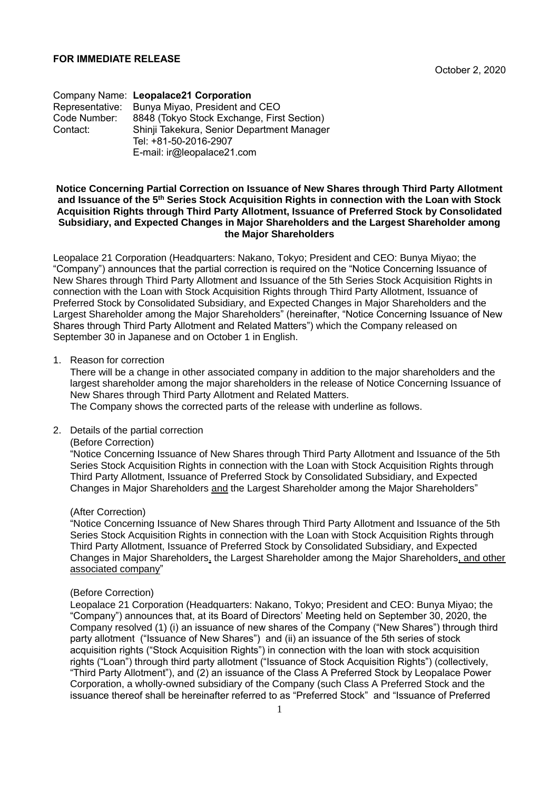Company Name: **Leopalace21 Corporation** Representative: Bunya Miyao, President and CEO<br>Code Number: 8848 (Tokyo Stock Exchange, Firs Code Number: 8848 (Tokyo Stock Exchange, First Section) Shinii Takekura, Senior Department Manager Tel: +81-50-2016-2907 E-mail: ir@leopalace21.com

### **Notice Concerning Partial Correction on Issuance of New Shares through Third Party Allotment and Issuance of the 5th Series Stock Acquisition Rights in connection with the Loan with Stock Acquisition Rights through Third Party Allotment, Issuance of Preferred Stock by Consolidated Subsidiary, and Expected Changes in Major Shareholders and the Largest Shareholder among the Major Shareholders**

Leopalace 21 Corporation (Headquarters: Nakano, Tokyo; President and CEO: Bunya Miyao; the "Company") announces that the partial correction is required on the "Notice Concerning Issuance of New Shares through Third Party Allotment and Issuance of the 5th Series Stock Acquisition Rights in connection with the Loan with Stock Acquisition Rights through Third Party Allotment, Issuance of Preferred Stock by Consolidated Subsidiary, and Expected Changes in Major Shareholders and the Largest Shareholder among the Major Shareholders" (hereinafter, "Notice Concerning Issuance of New Shares through Third Party Allotment and Related Matters") which the Company released on September 30 in Japanese and on October 1 in English.

### 1. Reason for correction

There will be a change in other associated company in addition to the major shareholders and the largest shareholder among the major shareholders in the release of Notice Concerning Issuance of New Shares through Third Party Allotment and Related Matters.

The Company shows the corrected parts of the release with underline as follows.

### 2. Details of the partial correction

### (Before Correction)

"Notice Concerning Issuance of New Shares through Third Party Allotment and Issuance of the 5th Series Stock Acquisition Rights in connection with the Loan with Stock Acquisition Rights through Third Party Allotment, Issuance of Preferred Stock by Consolidated Subsidiary, and Expected Changes in Major Shareholders and the Largest Shareholder among the Major Shareholders"

## (After Correction)

"Notice Concerning Issuance of New Shares through Third Party Allotment and Issuance of the 5th Series Stock Acquisition Rights in connection with the Loan with Stock Acquisition Rights through Third Party Allotment, Issuance of Preferred Stock by Consolidated Subsidiary, and Expected Changes in Major Shareholders, the Largest Shareholder among the Major Shareholders, and other associated company"

#### (Before Correction)

Leopalace 21 Corporation (Headquarters: Nakano, Tokyo; President and CEO: Bunya Miyao; the "Company") announces that, at its Board of Directors' Meeting held on September 30, 2020, the Company resolved (1) (i) an issuance of new shares of the Company ("New Shares") through third party allotment ("Issuance of New Shares") and (ii) an issuance of the 5th series of stock acquisition rights ("Stock Acquisition Rights") in connection with the loan with stock acquisition rights ("Loan") through third party allotment ("Issuance of Stock Acquisition Rights") (collectively, "Third Party Allotment"), and (2) an issuance of the Class A Preferred Stock by Leopalace Power Corporation, a wholly-owned subsidiary of the Company (such Class A Preferred Stock and the issuance thereof shall be hereinafter referred to as "Preferred Stock" and "Issuance of Preferred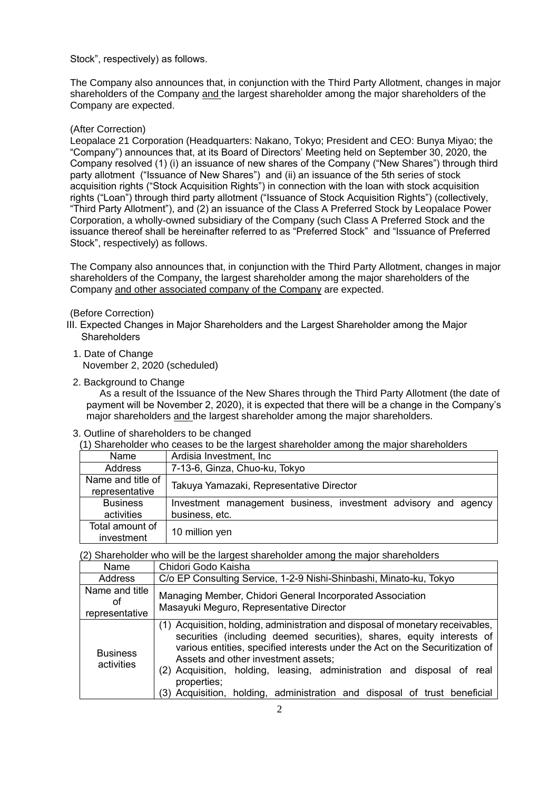Stock", respectively) as follows.

The Company also announces that, in conjunction with the Third Party Allotment, changes in major shareholders of the Company and the largest shareholder among the major shareholders of the Company are expected.

# (After Correction)

Leopalace 21 Corporation (Headquarters: Nakano, Tokyo; President and CEO: Bunya Miyao; the "Company") announces that, at its Board of Directors' Meeting held on September 30, 2020, the Company resolved (1) (i) an issuance of new shares of the Company ("New Shares") through third party allotment ("Issuance of New Shares") and (ii) an issuance of the 5th series of stock acquisition rights ("Stock Acquisition Rights") in connection with the loan with stock acquisition rights ("Loan") through third party allotment ("Issuance of Stock Acquisition Rights") (collectively, "Third Party Allotment"), and (2) an issuance of the Class A Preferred Stock by Leopalace Power Corporation, a wholly-owned subsidiary of the Company (such Class A Preferred Stock and the issuance thereof shall be hereinafter referred to as "Preferred Stock" and "Issuance of Preferred Stock", respectively) as follows.

The Company also announces that, in conjunction with the Third Party Allotment, changes in major shareholders of the Company, the largest shareholder among the major shareholders of the Company and other associated company of the Company are expected.

## (Before Correction)

- III. Expected Changes in Major Shareholders and the Largest Shareholder among the Major **Shareholders** 
	- 1. Date of Change November 2, 2020 (scheduled)
	- 2. Background to Change

As a result of the Issuance of the New Shares through the Third Party Allotment (the date of payment will be November 2, 2020), it is expected that there will be a change in the Company's major shareholders and the largest shareholder among the major shareholders.

## 3. Outline of shareholders to be changed

(1) Shareholder who ceases to be the largest shareholder among the major shareholders

| Name              | Ardisia Investment, Inc                                        |
|-------------------|----------------------------------------------------------------|
| Address           | 7-13-6, Ginza, Chuo-ku, Tokyo                                  |
| Name and title of | Takuya Yamazaki, Representative Director                       |
| representative    |                                                                |
| <b>Business</b>   | Investment management business, investment advisory and agency |
| activities        | business, etc.                                                 |
| Total amount of   |                                                                |
| investment        | 10 million yen                                                 |

(2) Shareholder who will be the largest shareholder among the major shareholders

| Name                                   | Chidori Godo Kaisha                                                                                                                                                                                                                                                                                                                                                                                                                                  |
|----------------------------------------|------------------------------------------------------------------------------------------------------------------------------------------------------------------------------------------------------------------------------------------------------------------------------------------------------------------------------------------------------------------------------------------------------------------------------------------------------|
| Address                                | C/o EP Consulting Service, 1-2-9 Nishi-Shinbashi, Minato-ku, Tokyo                                                                                                                                                                                                                                                                                                                                                                                   |
| Name and title<br>οt<br>representative | Managing Member, Chidori General Incorporated Association<br>Masayuki Meguro, Representative Director                                                                                                                                                                                                                                                                                                                                                |
| <b>Business</b><br>activities          | (1) Acquisition, holding, administration and disposal of monetary receivables,<br>securities (including deemed securities), shares, equity interests of<br>various entities, specified interests under the Act on the Securitization of<br>Assets and other investment assets;<br>(2) Acquisition, holding, leasing, administration and disposal of real<br>properties;<br>(3) Acquisition, holding, administration and disposal of trust beneficial |